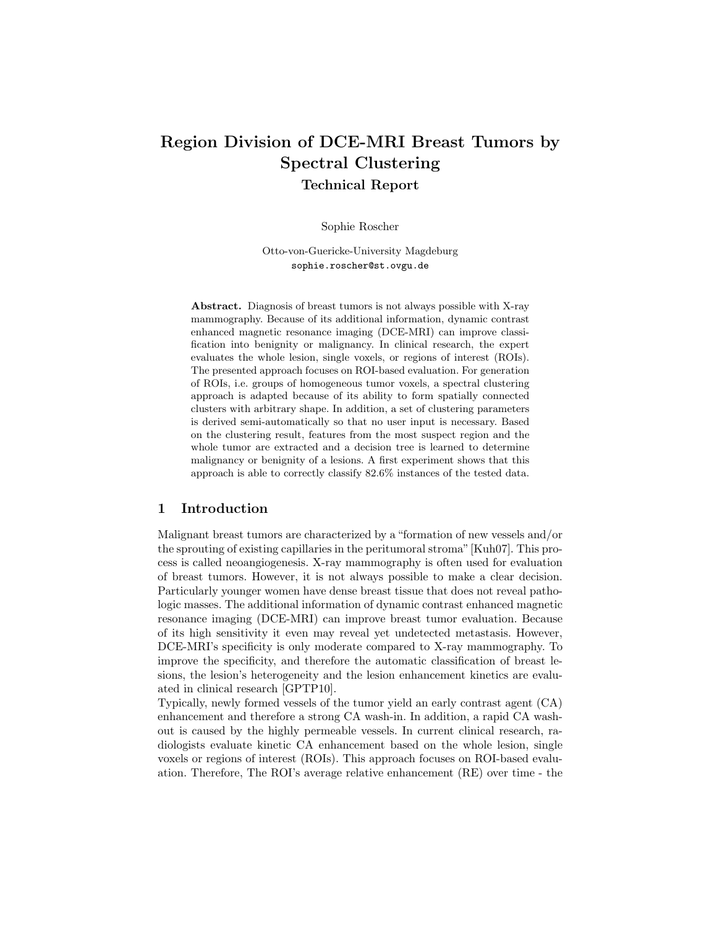# Region Division of DCE-MRI Breast Tumors by Spectral Clustering Technical Report

Sophie Roscher

Otto-von-Guericke-University Magdeburg sophie.roscher@st.ovgu.de

Abstract. Diagnosis of breast tumors is not always possible with X-ray mammography. Because of its additional information, dynamic contrast enhanced magnetic resonance imaging (DCE-MRI) can improve classification into benignity or malignancy. In clinical research, the expert evaluates the whole lesion, single voxels, or regions of interest (ROIs). The presented approach focuses on ROI-based evaluation. For generation of ROIs, i.e. groups of homogeneous tumor voxels, a spectral clustering approach is adapted because of its ability to form spatially connected clusters with arbitrary shape. In addition, a set of clustering parameters is derived semi-automatically so that no user input is necessary. Based on the clustering result, features from the most suspect region and the whole tumor are extracted and a decision tree is learned to determine malignancy or benignity of a lesions. A first experiment shows that this approach is able to correctly classify 82.6% instances of the tested data.

# 1 Introduction

Malignant breast tumors are characterized by a "formation of new vessels and/or the sprouting of existing capillaries in the peritumoral stroma"[Kuh07]. This process is called neoangiogenesis. X-ray mammography is often used for evaluation of breast tumors. However, it is not always possible to make a clear decision. Particularly younger women have dense breast tissue that does not reveal pathologic masses. The additional information of dynamic contrast enhanced magnetic resonance imaging (DCE-MRI) can improve breast tumor evaluation. Because of its high sensitivity it even may reveal yet undetected metastasis. However, DCE-MRI's specificity is only moderate compared to X-ray mammography. To improve the specificity, and therefore the automatic classification of breast lesions, the lesion's heterogeneity and the lesion enhancement kinetics are evaluated in clinical research [GPTP10].

Typically, newly formed vessels of the tumor yield an early contrast agent (CA) enhancement and therefore a strong CA wash-in. In addition, a rapid CA washout is caused by the highly permeable vessels. In current clinical research, radiologists evaluate kinetic CA enhancement based on the whole lesion, single voxels or regions of interest (ROIs). This approach focuses on ROI-based evaluation. Therefore, The ROI's average relative enhancement (RE) over time - the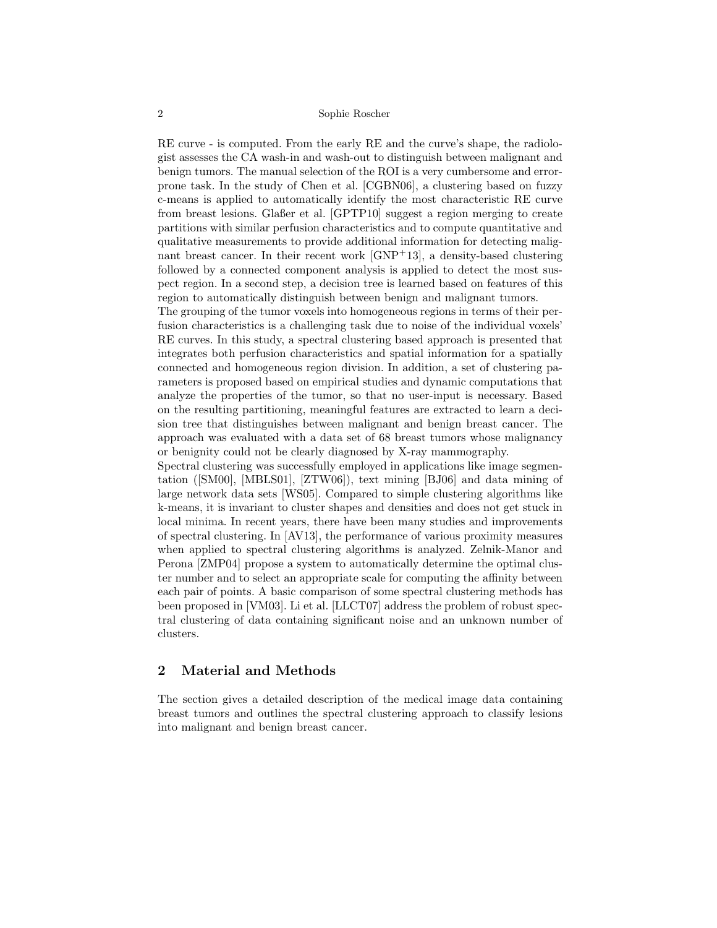RE curve - is computed. From the early RE and the curve's shape, the radiologist assesses the CA wash-in and wash-out to distinguish between malignant and benign tumors. The manual selection of the ROI is a very cumbersome and errorprone task. In the study of Chen et al. [CGBN06], a clustering based on fuzzy c-means is applied to automatically identify the most characteristic RE curve from breast lesions. Glaßer et al. [GPTP10] suggest a region merging to create partitions with similar perfusion characteristics and to compute quantitative and qualitative measurements to provide additional information for detecting malignant breast cancer. In their recent work [GNP+13], a density-based clustering followed by a connected component analysis is applied to detect the most suspect region. In a second step, a decision tree is learned based on features of this region to automatically distinguish between benign and malignant tumors.

The grouping of the tumor voxels into homogeneous regions in terms of their perfusion characteristics is a challenging task due to noise of the individual voxels' RE curves. In this study, a spectral clustering based approach is presented that integrates both perfusion characteristics and spatial information for a spatially connected and homogeneous region division. In addition, a set of clustering parameters is proposed based on empirical studies and dynamic computations that analyze the properties of the tumor, so that no user-input is necessary. Based on the resulting partitioning, meaningful features are extracted to learn a decision tree that distinguishes between malignant and benign breast cancer. The approach was evaluated with a data set of 68 breast tumors whose malignancy or benignity could not be clearly diagnosed by X-ray mammography.

Spectral clustering was successfully employed in applications like image segmentation ([SM00], [MBLS01], [ZTW06]), text mining [BJ06] and data mining of large network data sets [WS05]. Compared to simple clustering algorithms like k-means, it is invariant to cluster shapes and densities and does not get stuck in local minima. In recent years, there have been many studies and improvements of spectral clustering. In [AV13], the performance of various proximity measures when applied to spectral clustering algorithms is analyzed. Zelnik-Manor and Perona [ZMP04] propose a system to automatically determine the optimal cluster number and to select an appropriate scale for computing the affinity between each pair of points. A basic comparison of some spectral clustering methods has been proposed in [VM03]. Li et al. [LLCT07] address the problem of robust spectral clustering of data containing significant noise and an unknown number of clusters.

# 2 Material and Methods

The section gives a detailed description of the medical image data containing breast tumors and outlines the spectral clustering approach to classify lesions into malignant and benign breast cancer.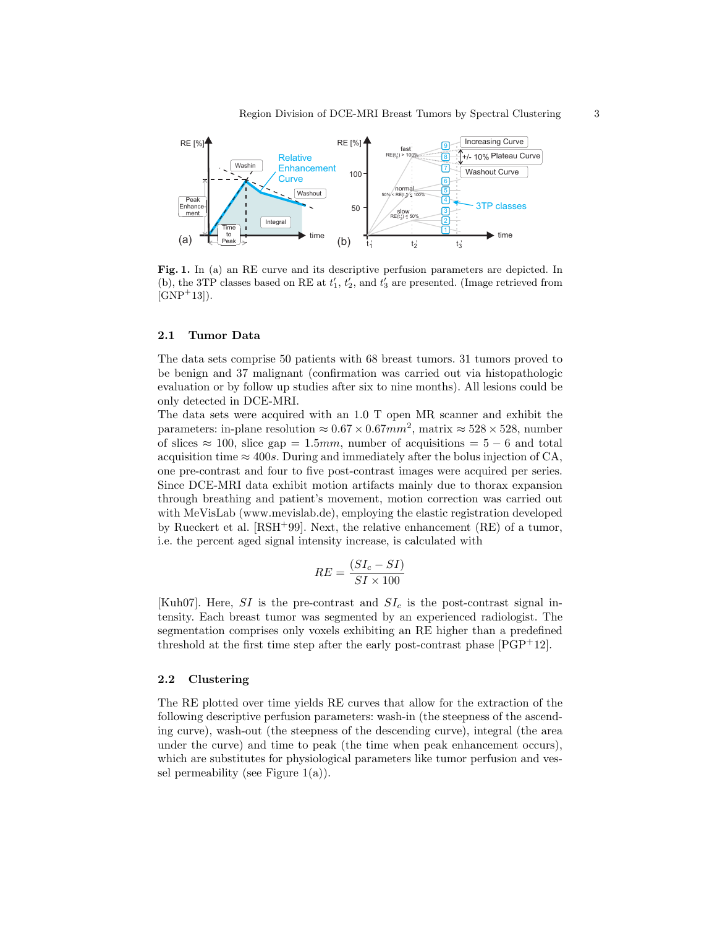

Fig. 1. In (a) an RE curve and its descriptive perfusion parameters are depicted. In (b), the 3TP classes based on RE at  $t'_1$ ,  $t'_2$ , and  $t'_3$  are presented. (Image retrieved from  $[GNP+13]$ .

## 2.1 Tumor Data

The data sets comprise 50 patients with 68 breast tumors. 31 tumors proved to be benign and 37 malignant (confirmation was carried out via histopathologic evaluation or by follow up studies after six to nine months). All lesions could be only detected in DCE-MRI.

The data sets were acquired with an 1.0 T open MR scanner and exhibit the parameters: in-plane resolution  $\approx 0.67 \times 0.67$  mm<sup>2</sup>, matrix  $\approx 528 \times 528$ , number of slices  $\approx 100$ , slice gap = 1.5mm, number of acquisitions = 5 – 6 and total acquisition time  $\approx 400s$ . During and immediately after the bolus injection of CA, one pre-contrast and four to five post-contrast images were acquired per series. Since DCE-MRI data exhibit motion artifacts mainly due to thorax expansion through breathing and patient's movement, motion correction was carried out with MeVisLab (www.mevislab.de), employing the elastic registration developed by Rueckert et al. [RSH+99]. Next, the relative enhancement (RE) of a tumor, i.e. the percent aged signal intensity increase, is calculated with

$$
RE = \frac{(SI_c - SI)}{SI \times 100}
$$

[Kuh07]. Here, SI is the pre-contrast and  $SL<sub>c</sub>$  is the post-contrast signal intensity. Each breast tumor was segmented by an experienced radiologist. The segmentation comprises only voxels exhibiting an RE higher than a predefined threshold at the first time step after the early post-contrast phase [PGP<sup>+</sup>12].

## 2.2 Clustering

The RE plotted over time yields RE curves that allow for the extraction of the following descriptive perfusion parameters: wash-in (the steepness of the ascending curve), wash-out (the steepness of the descending curve), integral (the area under the curve) and time to peak (the time when peak enhancement occurs), which are substitutes for physiological parameters like tumor perfusion and vessel permeability (see Figure  $1(a)$ ).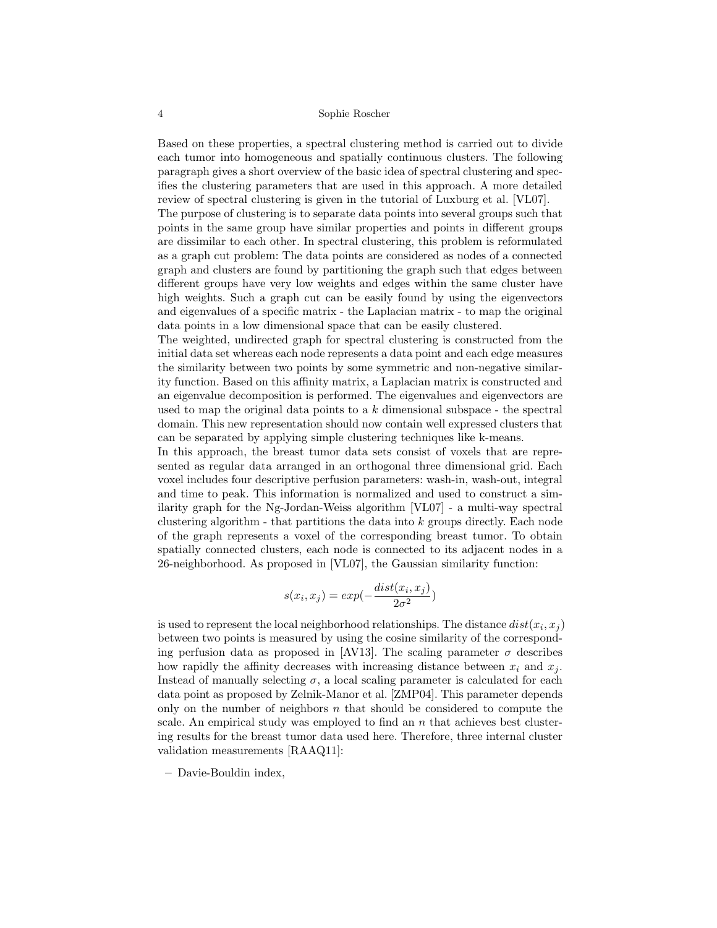Based on these properties, a spectral clustering method is carried out to divide each tumor into homogeneous and spatially continuous clusters. The following paragraph gives a short overview of the basic idea of spectral clustering and specifies the clustering parameters that are used in this approach. A more detailed review of spectral clustering is given in the tutorial of Luxburg et al. [VL07].

The purpose of clustering is to separate data points into several groups such that points in the same group have similar properties and points in different groups are dissimilar to each other. In spectral clustering, this problem is reformulated as a graph cut problem: The data points are considered as nodes of a connected graph and clusters are found by partitioning the graph such that edges between different groups have very low weights and edges within the same cluster have high weights. Such a graph cut can be easily found by using the eigenvectors and eigenvalues of a specific matrix - the Laplacian matrix - to map the original data points in a low dimensional space that can be easily clustered.

The weighted, undirected graph for spectral clustering is constructed from the initial data set whereas each node represents a data point and each edge measures the similarity between two points by some symmetric and non-negative similarity function. Based on this affinity matrix, a Laplacian matrix is constructed and an eigenvalue decomposition is performed. The eigenvalues and eigenvectors are used to map the original data points to a  $k$  dimensional subspace  $\overline{\phantom{a}}$  - the spectral domain. This new representation should now contain well expressed clusters that can be separated by applying simple clustering techniques like k-means.

In this approach, the breast tumor data sets consist of voxels that are represented as regular data arranged in an orthogonal three dimensional grid. Each voxel includes four descriptive perfusion parameters: wash-in, wash-out, integral and time to peak. This information is normalized and used to construct a similarity graph for the Ng-Jordan-Weiss algorithm [VL07] - a multi-way spectral clustering algorithm - that partitions the data into  $k$  groups directly. Each node of the graph represents a voxel of the corresponding breast tumor. To obtain spatially connected clusters, each node is connected to its adjacent nodes in a 26-neighborhood. As proposed in [VL07], the Gaussian similarity function:

$$
s(x_i, x_j) = exp(-\frac{dist(x_i, x_j)}{2\sigma^2})
$$

is used to represent the local neighborhood relationships. The distance  $dist(x_i, x_j)$ between two points is measured by using the cosine similarity of the corresponding perfusion data as proposed in [AV13]. The scaling parameter  $\sigma$  describes how rapidly the affinity decreases with increasing distance between  $x_i$  and  $x_j$ . Instead of manually selecting  $\sigma$ , a local scaling parameter is calculated for each data point as proposed by Zelnik-Manor et al. [ZMP04]. This parameter depends only on the number of neighbors  $n$  that should be considered to compute the scale. An empirical study was employed to find an  $n$  that achieves best clustering results for the breast tumor data used here. Therefore, three internal cluster validation measurements [RAAQ11]:

– Davie-Bouldin index,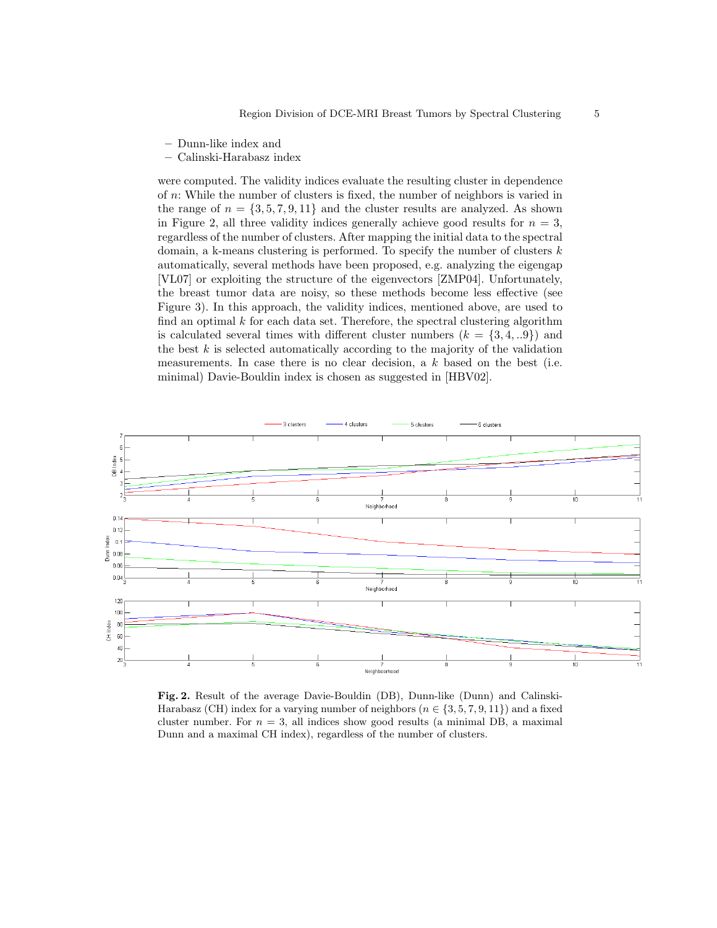- Dunn-like index and
- Calinski-Harabasz index

were computed. The validity indices evaluate the resulting cluster in dependence of n: While the number of clusters is fixed, the number of neighbors is varied in the range of  $n = \{3, 5, 7, 9, 11\}$  and the cluster results are analyzed. As shown in Figure 2, all three validity indices generally achieve good results for  $n = 3$ , regardless of the number of clusters. After mapping the initial data to the spectral domain, a k-means clustering is performed. To specify the number of clusters  $k$ automatically, several methods have been proposed, e.g. analyzing the eigengap [VL07] or exploiting the structure of the eigenvectors [ZMP04]. Unfortunately, the breast tumor data are noisy, so these methods become less effective (see Figure 3). In this approach, the validity indices, mentioned above, are used to find an optimal  $k$  for each data set. Therefore, the spectral clustering algorithm is calculated several times with different cluster numbers  $(k = \{3, 4, ...9\})$  and the best  $k$  is selected automatically according to the majority of the validation measurements. In case there is no clear decision, a  $k$  based on the best (i.e. minimal) Davie-Bouldin index is chosen as suggested in [HBV02].



Fig. 2. Result of the average Davie-Bouldin (DB), Dunn-like (Dunn) and Calinski-Harabasz (CH) index for a varying number of neighbors ( $n \in \{3, 5, 7, 9, 11\}$ ) and a fixed cluster number. For  $n = 3$ , all indices show good results (a minimal DB, a maximal Dunn and a maximal CH index), regardless of the number of clusters.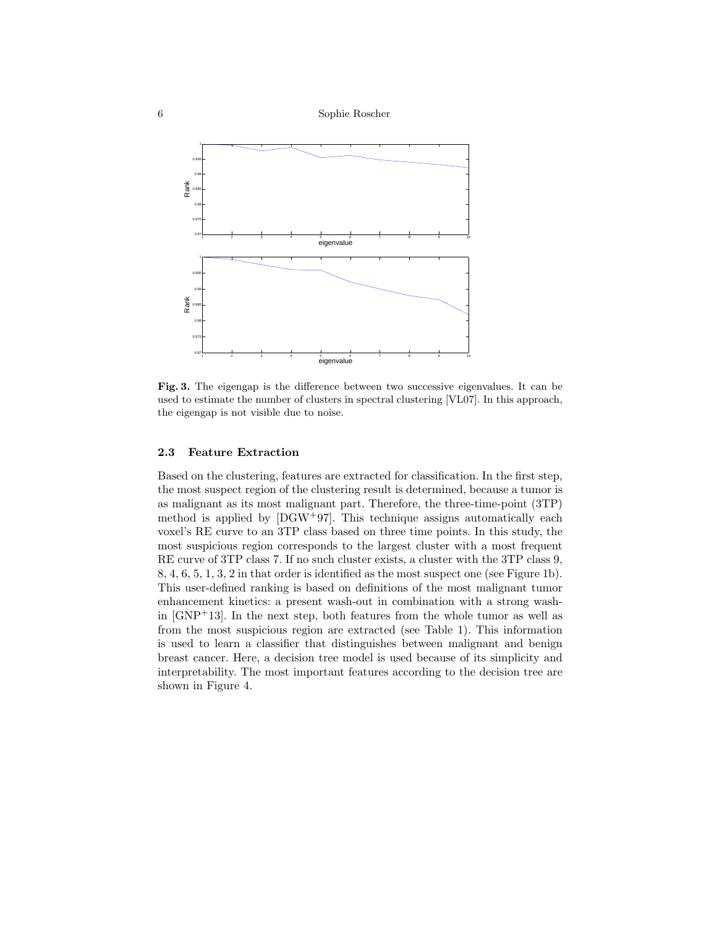6 Sophie Roscher



Fig. 3. The eigengap is the difference between two successive eigenvalues. It can be used to estimate the number of clusters in spectral clustering [VL07]. In this approach, the eigengap is not visible due to noise.

## 2.3 Feature Extraction

Based on the clustering, features are extracted for classification. In the first step, the most suspect region of the clustering result is determined, because a tumor is as malignant as its most malignant part. Therefore, the three-time-point (3TP) method is applied by  $[DGW^+97]$ . This technique assigns automatically each voxel's RE curve to an 3TP class based on three time points. In this study, the most suspicious region corresponds to the largest cluster with a most frequent RE curve of 3TP class 7. If no such cluster exists, a cluster with the 3TP class 9, 8, 4, 6, 5, 1, 3, 2 in that order is identified as the most suspect one (see Figure 1b). This user-defined ranking is based on definitions of the most malignant tumor enhancement kinetics: a present wash-out in combination with a strong washin  $[GNP<sup>+</sup>13]$ . In the next step, both features from the whole tumor as well as from the most suspicious region are extracted (see Table 1). This information is used to learn a classifier that distinguishes between malignant and benign breast cancer. Here, a decision tree model is used because of its simplicity and interpretability. The most important features according to the decision tree are shown in Figure 4.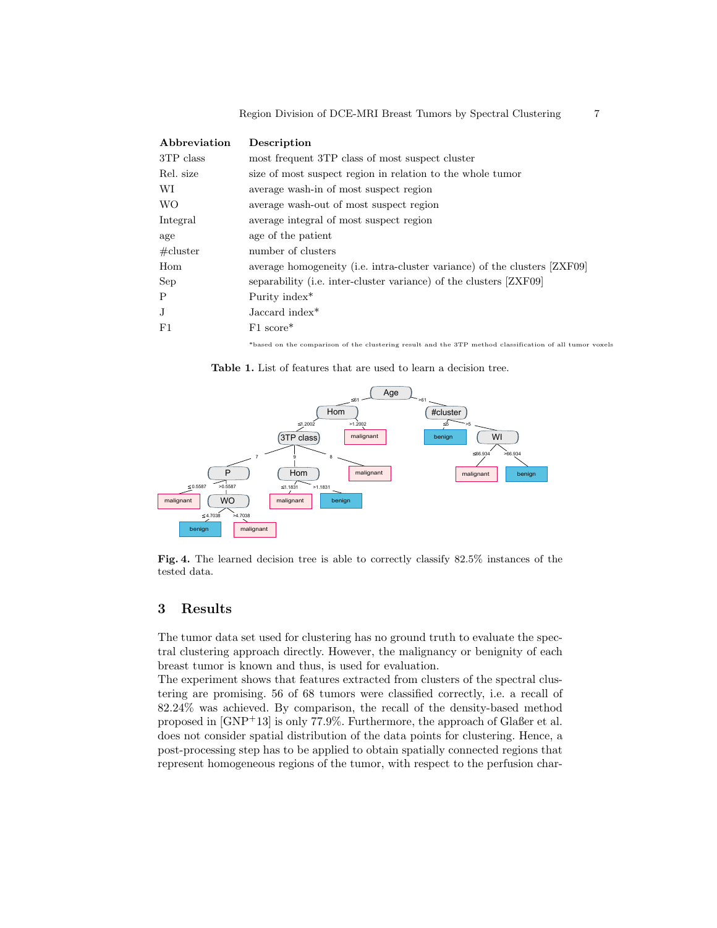| Description                                                               |
|---------------------------------------------------------------------------|
| most frequent 3TP class of most suspect cluster                           |
| size of most suspect region in relation to the whole tumor                |
| average wash-in of most suspect region                                    |
| average wash-out of most suspect region                                   |
| average integral of most suspect region                                   |
| age of the patient                                                        |
| number of clusters                                                        |
| average homogeneity (i.e. intra-cluster variance) of the clusters [ZXF09] |
| separability (i.e. inter-cluster variance) of the clusters [ZXF09]        |
| Purity index <sup>*</sup>                                                 |
| Jaccard index*                                                            |
| $F1 \text{ score}^*$                                                      |
|                                                                           |

\*based on the comparison of the clustering result and the 3TP method classification of all tumor voxels

Table 1. List of features that are used to learn a decision tree.



Fig. 4. The learned decision tree is able to correctly classify 82.5% instances of the tested data.

# 3 Results

The tumor data set used for clustering has no ground truth to evaluate the spectral clustering approach directly. However, the malignancy or benignity of each breast tumor is known and thus, is used for evaluation.

The experiment shows that features extracted from clusters of the spectral clustering are promising. 56 of 68 tumors were classified correctly, i.e. a recall of 82.24% was achieved. By comparison, the recall of the density-based method proposed in [GNP<sup>+</sup>13] is only 77.9%. Furthermore, the approach of Glaßer et al. does not consider spatial distribution of the data points for clustering. Hence, a post-processing step has to be applied to obtain spatially connected regions that represent homogeneous regions of the tumor, with respect to the perfusion char-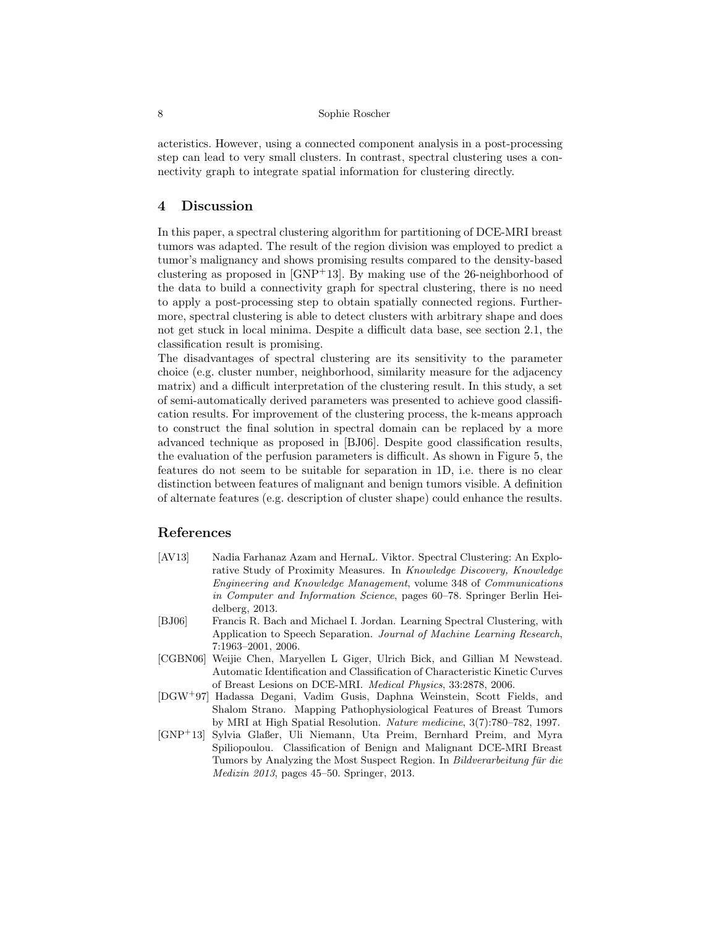acteristics. However, using a connected component analysis in a post-processing step can lead to very small clusters. In contrast, spectral clustering uses a connectivity graph to integrate spatial information for clustering directly.

# 4 Discussion

In this paper, a spectral clustering algorithm for partitioning of DCE-MRI breast tumors was adapted. The result of the region division was employed to predict a tumor's malignancy and shows promising results compared to the density-based clustering as proposed in  $[GNP<sup>+</sup>13]$ . By making use of the 26-neighborhood of the data to build a connectivity graph for spectral clustering, there is no need to apply a post-processing step to obtain spatially connected regions. Furthermore, spectral clustering is able to detect clusters with arbitrary shape and does not get stuck in local minima. Despite a difficult data base, see section 2.1, the classification result is promising.

The disadvantages of spectral clustering are its sensitivity to the parameter choice (e.g. cluster number, neighborhood, similarity measure for the adjacency matrix) and a difficult interpretation of the clustering result. In this study, a set of semi-automatically derived parameters was presented to achieve good classification results. For improvement of the clustering process, the k-means approach to construct the final solution in spectral domain can be replaced by a more advanced technique as proposed in [BJ06]. Despite good classification results, the evaluation of the perfusion parameters is difficult. As shown in Figure 5, the features do not seem to be suitable for separation in 1D, i.e. there is no clear distinction between features of malignant and benign tumors visible. A definition of alternate features (e.g. description of cluster shape) could enhance the results.

# References

- [AV13] Nadia Farhanaz Azam and HernaL. Viktor. Spectral Clustering: An Explorative Study of Proximity Measures. In Knowledge Discovery, Knowledge Engineering and Knowledge Management, volume 348 of Communications in Computer and Information Science, pages 60–78. Springer Berlin Heidelberg, 2013.
- [BJ06] Francis R. Bach and Michael I. Jordan. Learning Spectral Clustering, with Application to Speech Separation. Journal of Machine Learning Research, 7:1963–2001, 2006.
- [CGBN06] Weijie Chen, Maryellen L Giger, Ulrich Bick, and Gillian M Newstead. Automatic Identification and Classification of Characteristic Kinetic Curves of Breast Lesions on DCE-MRI. Medical Physics, 33:2878, 2006.
- [DGW<sup>+</sup>97] Hadassa Degani, Vadim Gusis, Daphna Weinstein, Scott Fields, and Shalom Strano. Mapping Pathophysiological Features of Breast Tumors by MRI at High Spatial Resolution. Nature medicine, 3(7):780–782, 1997.
- [GNP<sup>+</sup>13] Sylvia Glaßer, Uli Niemann, Uta Preim, Bernhard Preim, and Myra Spiliopoulou. Classification of Benign and Malignant DCE-MRI Breast Tumors by Analyzing the Most Suspect Region. In Bildverarbeitung für die Medizin 2013, pages 45–50. Springer, 2013.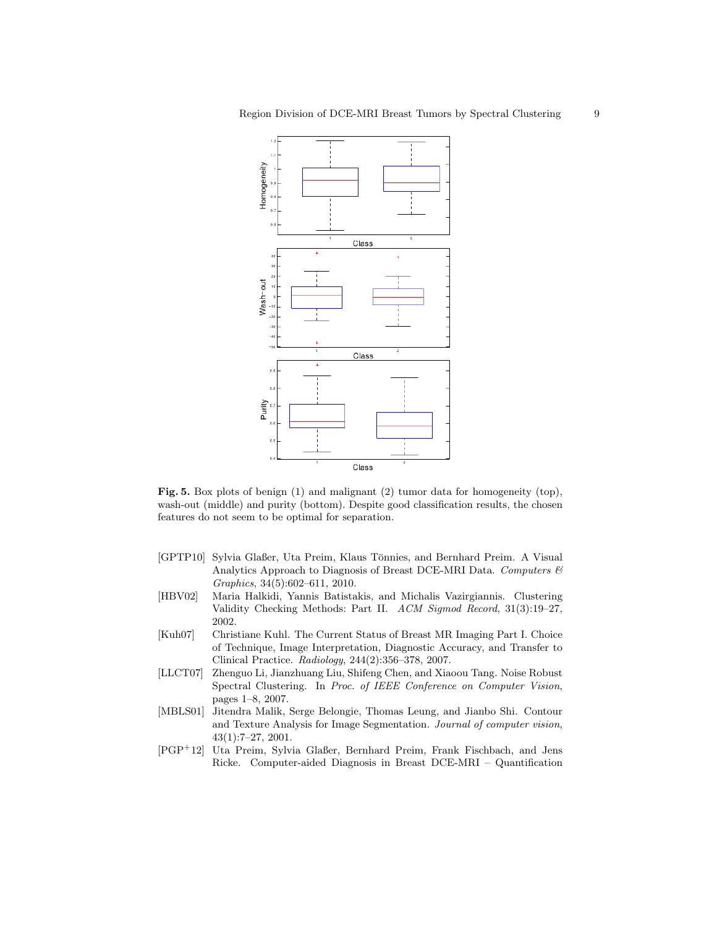

Fig. 5. Box plots of benign  $(1)$  and malignant  $(2)$  tumor data for homogeneity  $(top)$ , wash-out (middle) and purity (bottom). Despite good classification results, the chosen features do not seem to be optimal for separation.

- [GPTP10] Sylvia Glaßer, Uta Preim, Klaus Tönnies, and Bernhard Preim. A Visual Analytics Approach to Diagnosis of Breast DCE-MRI Data. Computers & Graphics, 34(5):602–611, 2010.
- [HBV02] Maria Halkidi, Yannis Batistakis, and Michalis Vazirgiannis. Clustering Validity Checking Methods: Part II. ACM Sigmod Record, 31(3):19–27, 2002.
- [Kuh07] Christiane Kuhl. The Current Status of Breast MR Imaging Part I. Choice of Technique, Image Interpretation, Diagnostic Accuracy, and Transfer to Clinical Practice. Radiology, 244(2):356–378, 2007.
- [LLCT07] Zhenguo Li, Jianzhuang Liu, Shifeng Chen, and Xiaoou Tang. Noise Robust Spectral Clustering. In Proc. of IEEE Conference on Computer Vision, pages 1–8, 2007.
- [MBLS01] Jitendra Malik, Serge Belongie, Thomas Leung, and Jianbo Shi. Contour and Texture Analysis for Image Segmentation. Journal of computer vision, 43(1):7–27, 2001.
- [PGP<sup>+</sup>12] Uta Preim, Sylvia Glaßer, Bernhard Preim, Frank Fischbach, and Jens Ricke. Computer-aided Diagnosis in Breast DCE-MRI – Quantification